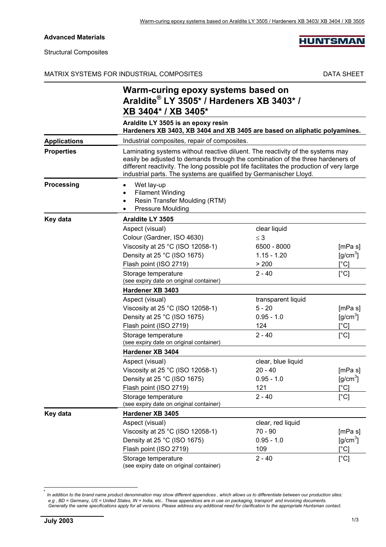### **Advanced Materials**

#### Structural Composites

### MATRIX SYSTEMS FOR INDUSTRIAL COMPOSITES DATA SHEET

**HUNTSMAN** 

|                     | Warm-curing epoxy systems based on<br>Araldite® LY 3505* / Hardeners XB 3403* /<br>XB 3404* / XB 3405*                                                                                                                                                                                                                               |                    |                              |
|---------------------|--------------------------------------------------------------------------------------------------------------------------------------------------------------------------------------------------------------------------------------------------------------------------------------------------------------------------------------|--------------------|------------------------------|
|                     | Araldite LY 3505 is an epoxy resin<br>Hardeners XB 3403, XB 3404 and XB 3405 are based on aliphatic polyamines.                                                                                                                                                                                                                      |                    |                              |
| <b>Applications</b> | Industrial composites, repair of composites.                                                                                                                                                                                                                                                                                         |                    |                              |
| <b>Properties</b>   | Laminating systems without reactive diluent. The reactivity of the systems may<br>easily be adjusted to demands through the combination of the three hardeners of<br>different reactivity. The long possible pot life facilitates the production of very large<br>industrial parts. The systems are qualified by Germanischer Lloyd. |                    |                              |
| <b>Processing</b>   | Wet lay-up<br><b>Filament Winding</b><br>Resin Transfer Moulding (RTM)<br><b>Pressure Moulding</b>                                                                                                                                                                                                                                   |                    |                              |
| Key data            | Araldite LY 3505                                                                                                                                                                                                                                                                                                                     |                    |                              |
|                     | Aspect (visual)                                                                                                                                                                                                                                                                                                                      | clear liquid       |                              |
|                     | Colour (Gardner, ISO 4630)                                                                                                                                                                                                                                                                                                           | $\leq$ 3           |                              |
|                     | Viscosity at 25 °C (ISO 12058-1)                                                                                                                                                                                                                                                                                                     | 6500 - 8000        | [mPa s]                      |
|                     | Density at 25 °C (ISO 1675)                                                                                                                                                                                                                                                                                                          | $1.15 - 1.20$      | $[g/cm^3]$                   |
|                     | Flash point (ISO 2719)                                                                                                                                                                                                                                                                                                               | > 200              | $\lceil{^{\circ}C}\rceil$    |
|                     | Storage temperature<br>(see expiry date on original container)                                                                                                                                                                                                                                                                       | $2 - 40$           | $[^{\circ}C]$                |
|                     | Hardener XB 3403                                                                                                                                                                                                                                                                                                                     |                    |                              |
|                     | Aspect (visual)                                                                                                                                                                                                                                                                                                                      | transparent liquid |                              |
|                     | Viscosity at 25 $^{\circ}$ C (ISO 12058-1)                                                                                                                                                                                                                                                                                           | $5 - 20$           | [mPa s]                      |
|                     | Density at 25 °C (ISO 1675)                                                                                                                                                                                                                                                                                                          | $0.95 - 1.0$       | $[g/cm^3]$                   |
|                     | Flash point (ISO 2719)                                                                                                                                                                                                                                                                                                               | 124                | $\lceil$ °Cl                 |
|                     | Storage temperature<br>(see expiry date on original container)                                                                                                                                                                                                                                                                       | $2 - 40$           | [°C]                         |
|                     | Hardener XB 3404                                                                                                                                                                                                                                                                                                                     |                    |                              |
|                     | Aspect (visual)                                                                                                                                                                                                                                                                                                                      | clear, blue liquid |                              |
|                     | Viscosity at 25 °C (ISO 12058-1)                                                                                                                                                                                                                                                                                                     | $20 - 40$          | [mPa s]                      |
|                     | Density at 25 °C (ISO 1675)                                                                                                                                                                                                                                                                                                          | $0.95 - 1.0$       | [g/cm <sup>3</sup> ]         |
|                     | Flash point (ISO 2719)                                                                                                                                                                                                                                                                                                               | 121                | $\lceil{^{\circ}C}\rceil$    |
|                     | Storage temperature<br>(see expiry date on original container)                                                                                                                                                                                                                                                                       | $2 - 40$           | [°C]                         |
| Key data            | Hardener XB 3405                                                                                                                                                                                                                                                                                                                     |                    |                              |
|                     | Aspect (visual)                                                                                                                                                                                                                                                                                                                      | clear, red liquid  |                              |
|                     | Viscosity at 25 °C (ISO 12058-1)                                                                                                                                                                                                                                                                                                     | $70 - 90$          | [mPa s]                      |
|                     | Density at 25 °C (ISO 1675)                                                                                                                                                                                                                                                                                                          | $0.95 - 1.0$       | $[g/cm^3]$                   |
|                     | Flash point (ISO 2719)                                                                                                                                                                                                                                                                                                               | 109                | $\mathsf{I}^\circ\mathsf{C}$ |
|                     | Storage temperature                                                                                                                                                                                                                                                                                                                  | $2 - 40$           | [°C]                         |

(see expiry date on original container)

l

<sup>\*</sup> *In addition to the brand name product denomination may show different appendices , which allows us to differentiate between our production sites: e.g , BD = Germany, US = United States, IN = India, etc.. These appendices are in use on packaging, transport and invoicing documents. Generally the same specifications apply for all versions. Please address any additional need for clarification to the appropriate Huntsman contact.*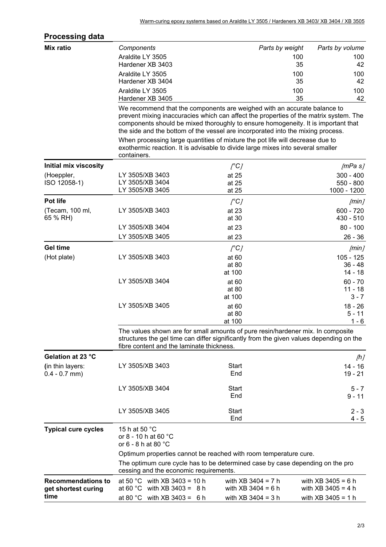| <b>Processing data</b>                           |                                                                                                                                                                                                                                                                                                                                                                                                                            |                                              |                 |                                              |
|--------------------------------------------------|----------------------------------------------------------------------------------------------------------------------------------------------------------------------------------------------------------------------------------------------------------------------------------------------------------------------------------------------------------------------------------------------------------------------------|----------------------------------------------|-----------------|----------------------------------------------|
| Mix ratio                                        | Components                                                                                                                                                                                                                                                                                                                                                                                                                 |                                              | Parts by weight | Parts by volume                              |
|                                                  | Araldite LY 3505                                                                                                                                                                                                                                                                                                                                                                                                           |                                              | 100             | 100                                          |
|                                                  | Hardener XB 3403                                                                                                                                                                                                                                                                                                                                                                                                           |                                              | 35              | 42                                           |
|                                                  | Araldite LY 3505                                                                                                                                                                                                                                                                                                                                                                                                           |                                              | 100             | 100                                          |
|                                                  | Hardener XB 3404                                                                                                                                                                                                                                                                                                                                                                                                           |                                              | 35              | 42                                           |
|                                                  | Araldite LY 3505<br>Hardener XB 3405                                                                                                                                                                                                                                                                                                                                                                                       |                                              | 100<br>35       | 100<br>42                                    |
|                                                  | We recommend that the components are weighed with an accurate balance to<br>prevent mixing inaccuracies which can affect the properties of the matrix system. The<br>components should be mixed thoroughly to ensure homogeneity. It is important that<br>the side and the bottom of the vessel are incorporated into the mixing process.<br>When processing large quantities of mixture the pot life will decrease due to |                                              |                 |                                              |
|                                                  | exothermic reaction. It is advisable to divide large mixes into several smaller<br>containers.                                                                                                                                                                                                                                                                                                                             |                                              |                 |                                              |
| <b>Initial mix viscosity</b>                     |                                                                                                                                                                                                                                                                                                                                                                                                                            | $\int^{\circ} C$                             |                 | /mPa s/                                      |
| (Hoeppler,                                       | LY 3505/XB 3403                                                                                                                                                                                                                                                                                                                                                                                                            | at 25                                        |                 | $300 - 400$                                  |
| ISO 12058-1)                                     | LY 3505/XB 3404<br>LY 3505/XB 3405                                                                                                                                                                                                                                                                                                                                                                                         | at 25                                        |                 | $550 - 800$                                  |
|                                                  |                                                                                                                                                                                                                                                                                                                                                                                                                            | at 25                                        |                 | 1000 - 1200                                  |
| Pot life                                         |                                                                                                                                                                                                                                                                                                                                                                                                                            | $\int^{\infty}$                              |                 | [min]                                        |
| (Tecam, 100 ml,<br>65 % RH)                      | LY 3505/XB 3403                                                                                                                                                                                                                                                                                                                                                                                                            | at 23<br>at 30                               |                 | $600 - 720$<br>$430 - 510$                   |
|                                                  | LY 3505/XB 3404                                                                                                                                                                                                                                                                                                                                                                                                            | at 23                                        |                 | $80 - 100$                                   |
|                                                  | LY 3505/XB 3405                                                                                                                                                                                                                                                                                                                                                                                                            | at 23                                        |                 | $26 - 36$                                    |
| <b>Gel time</b>                                  |                                                                                                                                                                                                                                                                                                                                                                                                                            | $\int^{\infty}$                              |                 | [min]                                        |
| (Hot plate)                                      | LY 3505/XB 3403                                                                                                                                                                                                                                                                                                                                                                                                            | at 60                                        |                 | $105 - 125$                                  |
|                                                  |                                                                                                                                                                                                                                                                                                                                                                                                                            | at 80                                        |                 | $36 - 48$                                    |
|                                                  |                                                                                                                                                                                                                                                                                                                                                                                                                            | at 100                                       |                 | $14 - 18$                                    |
|                                                  | LY 3505/XB 3404                                                                                                                                                                                                                                                                                                                                                                                                            | at 60<br>at 80                               |                 | $60 - 70$<br>$11 - 18$                       |
|                                                  |                                                                                                                                                                                                                                                                                                                                                                                                                            | at 100                                       |                 | $3 - 7$                                      |
|                                                  | LY 3505/XB 3405                                                                                                                                                                                                                                                                                                                                                                                                            | at 60                                        |                 | $18 - 26$                                    |
|                                                  |                                                                                                                                                                                                                                                                                                                                                                                                                            | at 80                                        |                 | $5 - 11$                                     |
|                                                  |                                                                                                                                                                                                                                                                                                                                                                                                                            | at 100                                       |                 | $1 - 6$                                      |
|                                                  | The values shown are for small amounts of pure resin/hardener mix. In composite<br>structures the gel time can differ significantly from the given values depending on the<br>fibre content and the laminate thickness.                                                                                                                                                                                                    |                                              |                 |                                              |
| Gelation at 23 °C                                |                                                                                                                                                                                                                                                                                                                                                                                                                            |                                              |                 | [h]                                          |
| (in thin layers:                                 | LY 3505/XB 3403                                                                                                                                                                                                                                                                                                                                                                                                            | <b>Start</b>                                 |                 | 14 - 16                                      |
| $0.4 - 0.7$ mm)                                  |                                                                                                                                                                                                                                                                                                                                                                                                                            | End                                          |                 | $19 - 21$                                    |
|                                                  | LY 3505/XB 3404                                                                                                                                                                                                                                                                                                                                                                                                            | <b>Start</b>                                 |                 | $5 - 7$                                      |
|                                                  |                                                                                                                                                                                                                                                                                                                                                                                                                            | End                                          |                 | $9 - 11$                                     |
|                                                  | LY 3505/XB 3405                                                                                                                                                                                                                                                                                                                                                                                                            | <b>Start</b><br>End                          |                 | $2 - 3$<br>$4 - 5$                           |
| <b>Typical cure cycles</b>                       | 15 h at 50 °C<br>or 8 - 10 h at 60 °C<br>or 6 - 8 h at 80 °C                                                                                                                                                                                                                                                                                                                                                               |                                              |                 |                                              |
|                                                  | Optimum properties cannot be reached with room temperature cure.                                                                                                                                                                                                                                                                                                                                                           |                                              |                 |                                              |
|                                                  | The optimum cure cycle has to be determined case by case depending on the pro<br>cessing and the economic requirements.                                                                                                                                                                                                                                                                                                    |                                              |                 |                                              |
| <b>Recommendations to</b><br>get shortest curing | at 50 °C with XB 3403 = 10 h<br>at 60 °C with XB 3403 = $8 h$                                                                                                                                                                                                                                                                                                                                                              | with $XB$ 3404 = 7 h<br>with $XB$ 3404 = 6 h |                 | with $XB$ 3405 = 6 h<br>with $XB$ 3405 = 4 h |
| time                                             | at 80 $^{\circ}$ C<br>with $XB$ 3403 = 6 h                                                                                                                                                                                                                                                                                                                                                                                 | with $XB$ 3404 = 3 h                         |                 | with $XB$ 3405 = 1 h                         |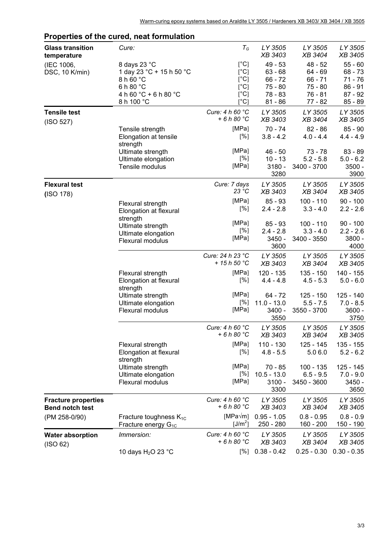| <b>Glass transition</b><br>temperature               | Cure:                                       | $T_G$                             | LY 3505<br>XB 3403        | LY 3505<br>XB 3404         | LY 3505<br>XB 3405      |
|------------------------------------------------------|---------------------------------------------|-----------------------------------|---------------------------|----------------------------|-------------------------|
| (IEC 1006,<br>DSC, 10 K/min)                         | 8 days 23 °C<br>1 day 23 °C + 15 h 50 °C    | $[^{\circ}C]$<br>$[^{\circ}C]$    | $49 - 53$<br>$63 - 68$    | $48 - 52$<br>64 - 69       | $55 - 60$<br>$68 - 73$  |
|                                                      | 8 h 60 °C                                   | $[^{\circ}C]$                     | $66 - 72$                 | $66 - 71$                  | $71 - 76$               |
|                                                      | 6 h 80 °C                                   | [°C]                              | $75 - 80$                 | $75 - 80$                  | $86 - 91$               |
|                                                      | 4 h 60 °C + 6 h 80 °C<br>8 h 100 °C         | [°C]<br>$[^{\circ}C]$             | $78 - 83$<br>$81 - 86$    | $76 - 81$<br>77 - 82       | $87 - 92$<br>85 - 89    |
| <b>Tensile test</b>                                  |                                             | Cure: 4 h 60 °C<br>$+6h80 °C$     | LY 3505<br><b>XB 3403</b> | LY 3505<br>XB 3404         | LY 3505<br>XB 3405      |
| (ISO 527)                                            | Tensile strength                            | [MPa]                             | $70 - 74$                 | $82 - 86$                  | $85 - 90$               |
|                                                      | Elongation at tensile<br>strength           | [%]                               | $3.8 - 4.2$               | $4.0 - 4.4$                | $4.4 - 4.9$             |
|                                                      | Ultimate strength                           | [MPa]                             | $46 - 50$                 | $73 - 78$                  | $83 - 89$               |
|                                                      | Ultimate elongation                         | [%]                               | $10 - 13$                 | $5.2 - 5.8$                | $5.0 - 6.2$             |
|                                                      | Tensile modulus                             | [MPa]                             | $3180 -$<br>3280          | 3400 - 3700                | 3500 -<br>3900          |
| <b>Flexural test</b>                                 |                                             | Cure: 7 days<br>23 °C             | LY 3505<br>XB 3403        | LY 3505<br><b>XB 3404</b>  | LY 3505<br>XB 3405      |
| (ISO 178)                                            |                                             | [MPa]                             | $85 - 93$                 | $100 - 110$                | $90 - 100$              |
|                                                      | Flexural strength<br>Elongation at flexural | [%]                               | $2.4 - 2.8$               | $3.3 - 4.0$                | $2.2 - 2.6$             |
|                                                      | strength<br>Ultimate strength               | [MPa]                             | $85 - 93$                 | $100 - 110$                | $90 - 100$              |
|                                                      | Ultimate elongation                         | [%]                               | $2.4 - 2.8$               | $3.3 - 4.0$                | $2.2 - 2.6$             |
|                                                      | Flexural modulus                            | [MPa]                             | 3450 -<br>3600            | 3400 - 3550                | 3800 -<br>4000          |
|                                                      |                                             | Cure: 24 h 23 °C<br>+ $15h 50 °C$ | LY 3505<br><i>XB 3403</i> | LY 3505<br>XB 3404         | LY 3505<br>XB 3405      |
|                                                      | Flexural strength                           | [MPa]                             | 120 - 135                 | $135 - 150$                | 140 - 155               |
|                                                      | Elongation at flexural<br>strength          | [%]                               | $4.4 - 4.8$               | $4.5 - 5.3$                | $5.0 - 6.0$             |
|                                                      | Ultimate strength                           | [MPa]                             | 64 - 72                   | $125 - 150$                | $125 - 140$             |
|                                                      | Ultimate elongation<br>Flexural modulus     | [%]<br>[MPa]                      | $11.0 - 13.0$<br>3400 -   | $5.5 - 7.5$<br>3550 - 3700 | $7.0 - 8.5$<br>$3600 -$ |
|                                                      |                                             |                                   | 3550                      |                            | 3750                    |
|                                                      |                                             | Cure: 4 h 60 °C<br>$+6h80°C$      | LY 3505<br>XB 3403        | LY 3505<br><b>XB 3404</b>  | LY 3505<br>XB 3405      |
|                                                      | Flexural strength                           | [MPa]                             | $110 - 130$               | 125 - 145                  | 135 - 155               |
|                                                      | Elongation at flexural<br>strength          | [%]                               | $4.8 - 5.5$               | 5.0 6.0                    | $5.2 - 6.2$             |
|                                                      | Ultimate strength                           | [MPa]                             | $70 - 85$                 | 100 - 135                  | 125 - 145               |
|                                                      | Ultimate elongation                         | [%]                               | $10.5 - 13.0$             | $6.5 - 9.5$                | $7.0 - 9.0$             |
|                                                      | Flexural modulus                            | [MPa]                             | $3100 -$<br>3300          | 3450 - 3600                | 3450 -<br>3650          |
| <b>Fracture properties</b><br><b>Bend notch test</b> |                                             | Cure: 4 h 60 °C<br>$+6h80 °C$     | LY 3505<br>XB 3403        | LY 3505<br>XB 3404         | LY 3505<br>XB 3405      |
| (PM 258-0/90)                                        | Fracture toughness $K_{1C}$                 | [MPa $\sqrt{m}$ ]                 | $0.95 - 1.05$             | $0.8 - 0.95$               | $0.8 - 0.9$             |
|                                                      | Fracture energy $G_{1C}$                    | [J/m <sup>2</sup> ]               | 250 - 280                 | 160 - 200                  | 150 - 190               |
| <b>Water absorption</b><br>(ISO 62)                  | Immersion:                                  | Cure: 4 h 60 °C<br>+6h80 °C       | LY 3505<br>XB 3403        | LY 3505<br>XB 3404         | LY 3505<br>XB 3405      |
|                                                      | 10 days H <sub>2</sub> O 23 °C              | [%]                               | $0.38 - 0.42$             | $0.25 - 0.30$              | $0.30 - 0.35$           |

# **Properties of the cured, neat formulation**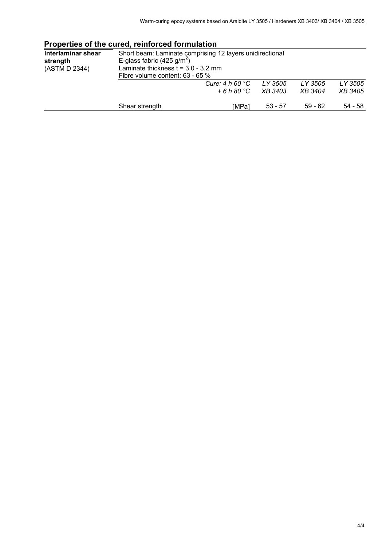|                                                 | Properties of the cured, remiorced formulation                                                                                                                                 |                    |                    |                           |  |
|-------------------------------------------------|--------------------------------------------------------------------------------------------------------------------------------------------------------------------------------|--------------------|--------------------|---------------------------|--|
| Interlaminar shear<br>strength<br>(ASTM D 2344) | Short beam: Laminate comprising 12 layers unidirectional<br>E-glass fabric (425 g/m <sup>2</sup> )<br>Laminate thickness $t = 3.0 - 3.2$ mm<br>Fibre volume content: 63 - 65 % |                    |                    |                           |  |
|                                                 | Cure: $4 h 60 °C$<br>$+6h80 °C$                                                                                                                                                | LY 3505<br>XB 3403 | LY 3505<br>XB 3404 | LY 3505<br><i>XB 3405</i> |  |
|                                                 | Shear strength<br>[MPa]                                                                                                                                                        | $53 - 57$          | $59 - 62$          | 54 - 58                   |  |

## **Properties of the cured, reinforced formulation**